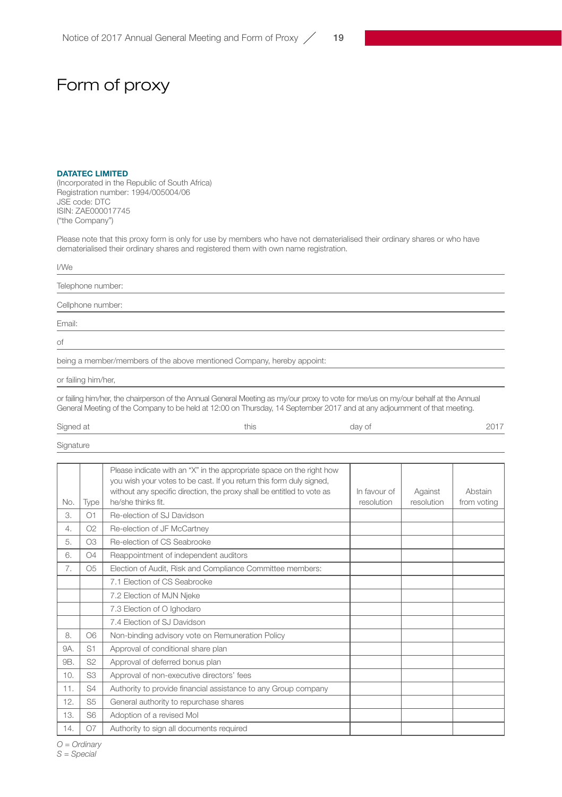## Form of proxy

## DATATEC LIMITED

(Incorporated in the Republic of South Africa) Registration number: 1994/005004/06 JSE code: DTC ISIN: ZAE000017745 ("the Company")

Please note that this proxy form is only for use by members who have not dematerialised their ordinary shares or who have dematerialised their ordinary shares and registered them with own name registration.

| I/We                                                                   |
|------------------------------------------------------------------------|
| Telephone number:                                                      |
| Cellphone number:                                                      |
| Email:                                                                 |
| of                                                                     |
| being a member/members of the above mentioned Company, hereby appoint: |

or failing him/her,

or failing him/her, the chairperson of the Annual General Meeting as my/our proxy to vote for me/us on my/our behalf at the Annual<br>General Meeting of the Company to be held at 12:00 on Thursday, 14 September 2017 and at an

| Signed at<br>-- --<br>◡ | this | day of | .<br>רי<br>ΔU |
|-------------------------|------|--------|---------------|
|                         |      |        |               |

Signature

|                |                | Please indicate with an "X" in the appropriate space on the right how<br>you wish your votes to be cast. If you return this form duly signed,<br>without any specific direction, the proxy shall be entitled to vote as | In favour of | Against    | Abstain     |
|----------------|----------------|-------------------------------------------------------------------------------------------------------------------------------------------------------------------------------------------------------------------------|--------------|------------|-------------|
| No.            | Type           | he/she thinks fit.                                                                                                                                                                                                      | resolution   | resolution | from votina |
| 3.             | O <sub>1</sub> | Re-election of SJ Davidson                                                                                                                                                                                              |              |            |             |
| 4.             | O2             | Re-election of JF McCartney                                                                                                                                                                                             |              |            |             |
| 5.             | O <sub>3</sub> | Re-election of CS Seabrooke                                                                                                                                                                                             |              |            |             |
| 6.             | O <sub>4</sub> | Reappointment of independent auditors                                                                                                                                                                                   |              |            |             |
| 7.             | O <sub>5</sub> | Election of Audit, Risk and Compliance Committee members:                                                                                                                                                               |              |            |             |
|                |                | 7.1 Election of CS Seabrooke                                                                                                                                                                                            |              |            |             |
|                |                | 7.2 Election of MJN Njeke                                                                                                                                                                                               |              |            |             |
|                |                | 7.3 Election of O Ighodaro                                                                                                                                                                                              |              |            |             |
|                |                | 7.4 Flection of SJ Davidson                                                                                                                                                                                             |              |            |             |
| 8.             | O <sub>6</sub> | Non-binding advisory vote on Remuneration Policy                                                                                                                                                                        |              |            |             |
| <b>9A.</b>     | S <sub>1</sub> | Approval of conditional share plan                                                                                                                                                                                      |              |            |             |
| 9 <sub>B</sub> | S <sub>2</sub> | Approval of deferred bonus plan                                                                                                                                                                                         |              |            |             |
| 10.            | S <sub>3</sub> | Approval of non-executive directors' fees                                                                                                                                                                               |              |            |             |
| 11.            | S <sub>4</sub> | Authority to provide financial assistance to any Group company                                                                                                                                                          |              |            |             |
| 12.            | S <sub>5</sub> | General authority to repurchase shares                                                                                                                                                                                  |              |            |             |
| 13.            | S <sub>6</sub> | Adoption of a revised Mol                                                                                                                                                                                               |              |            |             |
| 14.            | O7             | Authority to sign all documents required                                                                                                                                                                                |              |            |             |